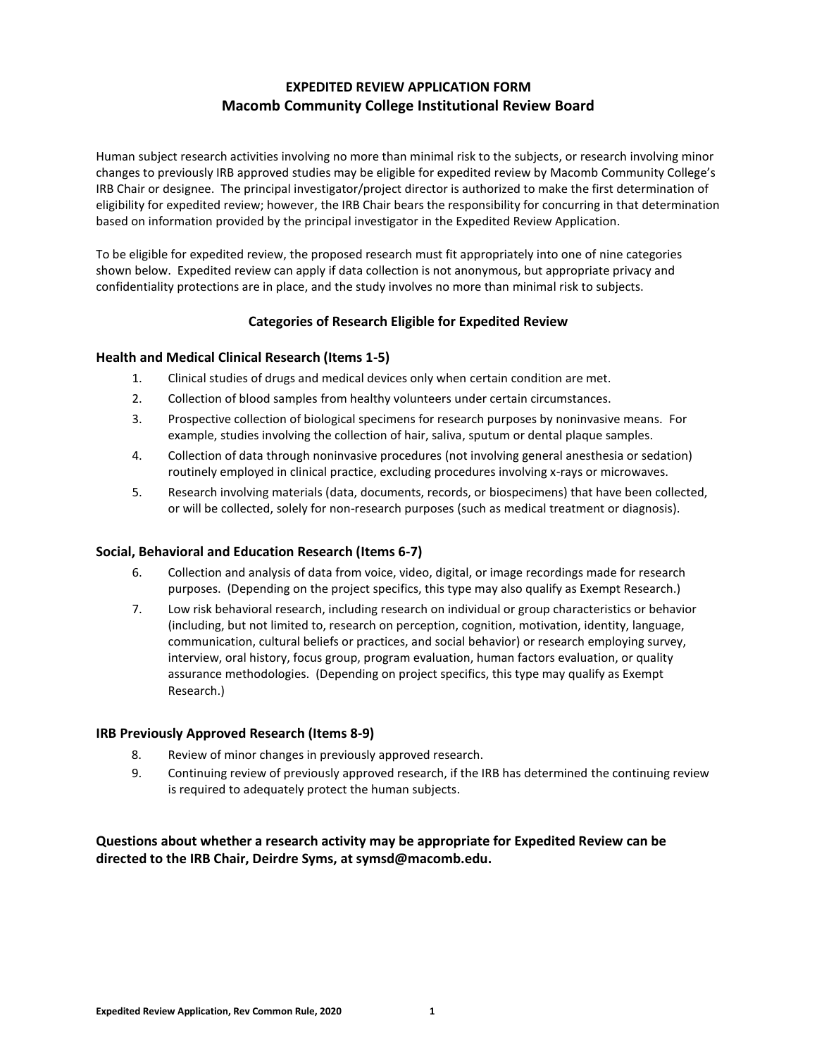# **EXPEDITED REVIEW APPLICATION FORM Macomb Community College Institutional Review Board**

Human subject research activities involving no more than minimal risk to the subjects, or research involving minor changes to previously IRB approved studies may be eligible for expedited review by Macomb Community College's IRB Chair or designee. The principal investigator/project director is authorized to make the first determination of eligibility for expedited review; however, the IRB Chair bears the responsibility for concurring in that determination based on information provided by the principal investigator in the Expedited Review Application.

To be eligible for expedited review, the proposed research must fit appropriately into one of nine categories shown below. Expedited review can apply if data collection is not anonymous, but appropriate privacy and confidentiality protections are in place, and the study involves no more than minimal risk to subjects.

## **Categories of Research Eligible for Expedited Review**

### **Health and Medical Clinical Research (Items 1-5)**

- 1. Clinical studies of drugs and medical devices only when certain condition are met.
- 2. Collection of blood samples from healthy volunteers under certain circumstances.
- 3. Prospective collection of biological specimens for research purposes by noninvasive means. For example, studies involving the collection of hair, saliva, sputum or dental plaque samples.
- 4. Collection of data through noninvasive procedures (not involving general anesthesia or sedation) routinely employed in clinical practice, excluding procedures involving x-rays or microwaves.
- 5. Research involving materials (data, documents, records, or biospecimens) that have been collected, or will be collected, solely for non-research purposes (such as medical treatment or diagnosis).

#### **Social, Behavioral and Education Research (Items 6-7)**

- 6. Collection and analysis of data from voice, video, digital, or image recordings made for research purposes. (Depending on the project specifics, this type may also qualify as Exempt Research.)
- 7. Low risk behavioral research, including research on individual or group characteristics or behavior (including, but not limited to, research on perception, cognition, motivation, identity, language, communication, cultural beliefs or practices, and social behavior) or research employing survey, interview, oral history, focus group, program evaluation, human factors evaluation, or quality assurance methodologies. (Depending on project specifics, this type may qualify as Exempt Research.)

#### **IRB Previously Approved Research (Items 8-9)**

- 8. Review of minor changes in previously approved research.
- 9. Continuing review of previously approved research, if the IRB has determined the continuing review is required to adequately protect the human subjects.

**Questions about whether a research activity may be appropriate for Expedited Review can be directed to the IRB Chair, Deirdre Syms, at symsd@macomb.edu.**